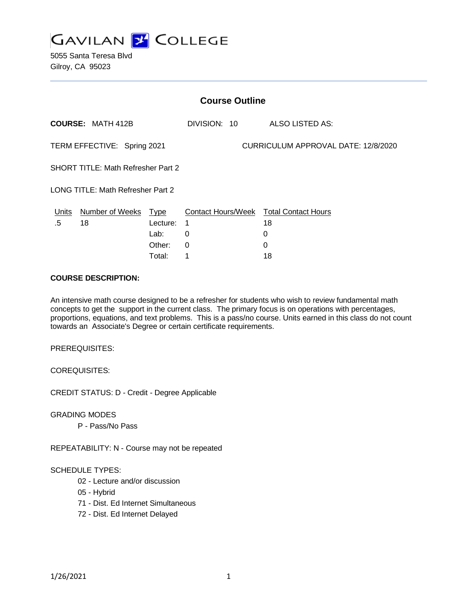

| <b>Course Outline</b>                     |                        |             |                                        |                                     |
|-------------------------------------------|------------------------|-------------|----------------------------------------|-------------------------------------|
| <b>COURSE: MATH 412B</b>                  |                        |             | DIVISION: 10                           | ALSO LISTED AS:                     |
| TERM EFFECTIVE: Spring 2021               |                        |             |                                        | CURRICULUM APPROVAL DATE: 12/8/2020 |
| <b>SHORT TITLE: Math Refresher Part 2</b> |                        |             |                                        |                                     |
| <b>LONG TITLE: Math Refresher Part 2</b>  |                        |             |                                        |                                     |
| <b>Units</b>                              | <b>Number of Weeks</b> | <u>Type</u> | Contact Hours/Week Total Contact Hours |                                     |
| .5                                        | 18                     | Lecture:    | 1                                      | 18                                  |
|                                           |                        | Lab:        | 0                                      | 0                                   |
|                                           |                        | Other:      | 0                                      | 0                                   |
|                                           |                        | Total:      | 1                                      | 18                                  |

#### **COURSE DESCRIPTION:**

An intensive math course designed to be a refresher for students who wish to review fundamental math concepts to get the support in the current class. The primary focus is on operations with percentages, proportions, equations, and text problems. This is a pass/no course. Units earned in this class do not count towards an Associate's Degree or certain certificate requirements.

PREREQUISITES:

COREQUISITES:

CREDIT STATUS: D - Credit - Degree Applicable

GRADING MODES

P - Pass/No Pass

REPEATABILITY: N - Course may not be repeated

## SCHEDULE TYPES:

- 02 Lecture and/or discussion
- 05 Hybrid
- 71 Dist. Ed Internet Simultaneous
- 72 Dist. Ed Internet Delayed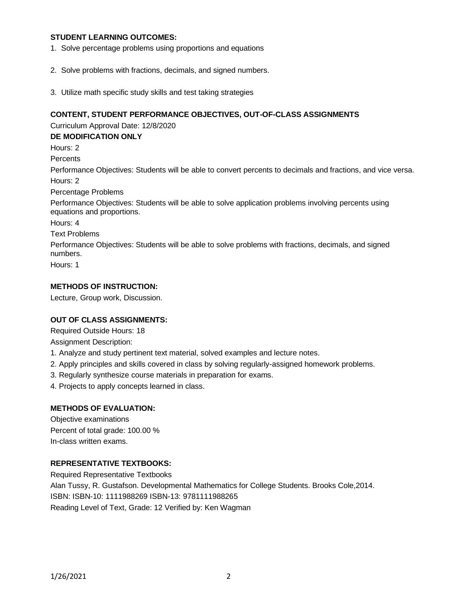## **STUDENT LEARNING OUTCOMES:**

- 1. Solve percentage problems using proportions and equations
- 2. Solve problems with fractions, decimals, and signed numbers.
- 3. Utilize math specific study skills and test taking strategies

#### **CONTENT, STUDENT PERFORMANCE OBJECTIVES, OUT-OF-CLASS ASSIGNMENTS**

Curriculum Approval Date: 12/8/2020

**DE MODIFICATION ONLY**

Hours: 2

**Percents** 

Performance Objectives: Students will be able to convert percents to decimals and fractions, and vice versa. Hours: 2

Percentage Problems

Performance Objectives: Students will be able to solve application problems involving percents using equations and proportions.

Hours: 4

Text Problems

Performance Objectives: Students will be able to solve problems with fractions, decimals, and signed numbers.

Hours: 1

## **METHODS OF INSTRUCTION:**

Lecture, Group work, Discussion.

## **OUT OF CLASS ASSIGNMENTS:**

Required Outside Hours: 18

Assignment Description:

- 1. Analyze and study pertinent text material, solved examples and lecture notes.
- 2. Apply principles and skills covered in class by solving regularly-assigned homework problems.
- 3. Regularly synthesize course materials in preparation for exams.
- 4. Projects to apply concepts learned in class.

## **METHODS OF EVALUATION:**

Objective examinations Percent of total grade: 100.00 % In-class written exams.

## **REPRESENTATIVE TEXTBOOKS:**

Required Representative Textbooks Alan Tussy, R. Gustafson. Developmental Mathematics for College Students. Brooks Cole,2014. ISBN: ISBN-10: 1111988269 ISBN-13: 9781111988265 Reading Level of Text, Grade: 12 Verified by: Ken Wagman